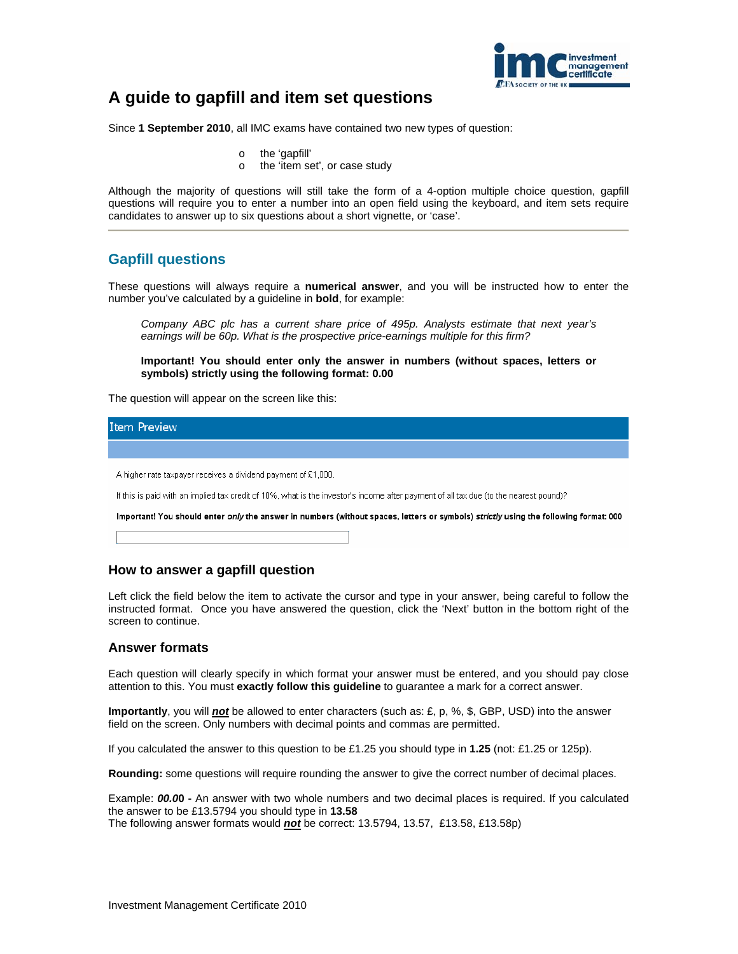

# **A guide to gapfill and item set questions**

Since **1 September 2010**, all IMC exams have contained two new types of question:

- o the 'gapfill'
- o the 'item set', or case study

Although the majority of questions will still take the form of a 4-option multiple choice question, gapfill questions will require you to enter a number into an open field using the keyboard, and item sets require candidates to answer up to six questions about a short vignette, or 'case'.

## **Gapfill questions**

These questions will always require a **numerical answer**, and you will be instructed how to enter the number you've calculated by a guideline in **bold**, for example:

*Company ABC plc has a current share price of 495p. Analysts estimate that next year's earnings will be 60p. What is the prospective price-earnings multiple for this firm?* 

**Important! You should enter only the answer in numbers (without spaces, letters or symbols) strictly using the following format: 0.00**

The question will appear on the screen like this:

| Item Preview                                                                                                                          |
|---------------------------------------------------------------------------------------------------------------------------------------|
|                                                                                                                                       |
| A higher rate taxpayer receives a dividend payment of £1,000.                                                                         |
| If this is paid with an implied tax credit of 10%, what is the investor's income after payment of all tax due (to the nearest pound)? |
| Important! You should enter only the answer in numbers (without spaces, letters or symbols) strictly using the following format: 000  |

### **How to answer a gapfill question**

Left click the field below the item to activate the cursor and type in your answer, being careful to follow the instructed format. Once you have answered the question, click the 'Next' button in the bottom right of the screen to continue.

#### **Answer formats**

Each question will clearly specify in which format your answer must be entered, and you should pay close attention to this. You must **exactly follow this guideline** to guarantee a mark for a correct answer.

**Importantly**, you will *not* be allowed to enter characters (such as: £, p, %, \$, GBP, USD) into the answer field on the screen. Only numbers with decimal points and commas are permitted.

If you calculated the answer to this question to be £1.25 you should type in **1.25** (not: £1.25 or 125p).

**Rounding:** some questions will require rounding the answer to give the correct number of decimal places.

Example: *00.0***0 -** An answer with two whole numbers and two decimal places is required. If you calculated the answer to be £13.5794 you should type in **13.58** 

The following answer formats would *not* be correct: 13.5794, 13.57, £13.58, £13.58p)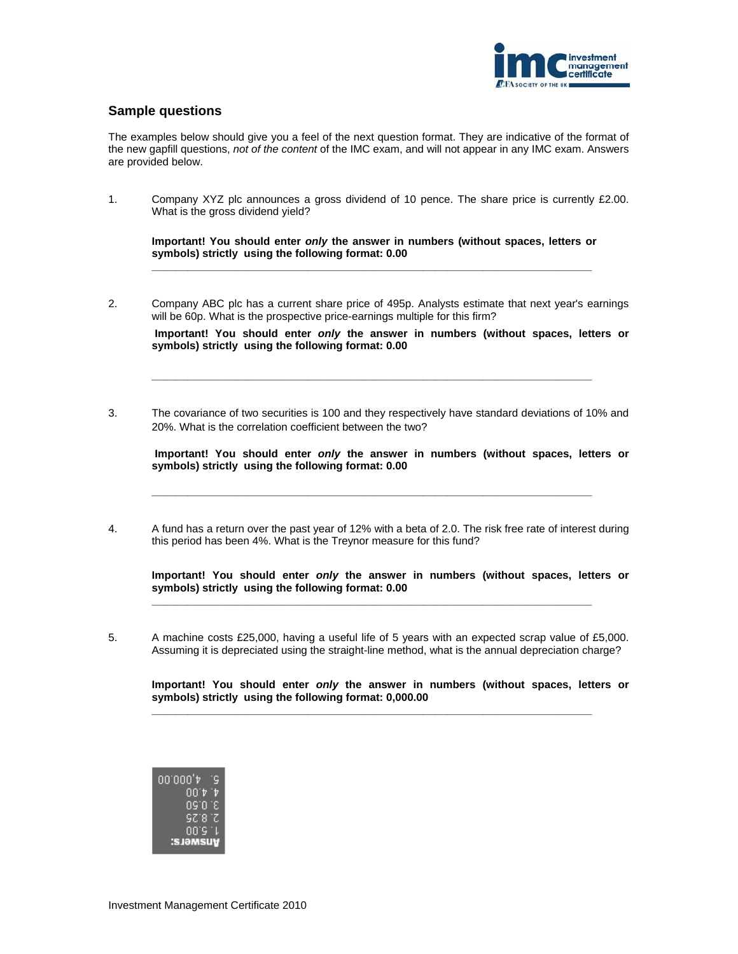

### **Sample questions**

The examples below should give you a feel of the next question format. They are indicative of the format of the new gapfill questions, *not of the content* of the IMC exam, and will not appear in any IMC exam. Answers are provided below.

1. Company XYZ plc announces a gross dividend of 10 pence. The share price is currently £2.00. What is the gross dividend yield?

**Important! You should enter** *only* **the answer in numbers (without spaces, letters or symbols) strictly using the following format: 0.00 \_\_\_\_\_\_\_\_\_\_\_\_\_\_\_\_\_\_\_\_\_\_\_\_\_\_\_\_\_\_\_\_\_\_\_\_\_\_\_\_\_\_\_\_\_\_\_\_\_\_\_\_\_\_\_\_\_\_\_\_\_\_\_\_\_\_\_\_\_\_\_\_\_** 

2. Company ABC plc has a current share price of 495p. Analysts estimate that next year's earnings will be 60p. What is the prospective price-earnings multiple for this firm?

 **Important! You should enter** *only* **the answer in numbers (without spaces, letters or symbols) strictly using the following format: 0.00**

3. The covariance of two securities is 100 and they respectively have standard deviations of 10% and 20%. What is the correlation coefficient between the two?

**\_\_\_\_\_\_\_\_\_\_\_\_\_\_\_\_\_\_\_\_\_\_\_\_\_\_\_\_\_\_\_\_\_\_\_\_\_\_\_\_\_\_\_\_\_\_\_\_\_\_\_\_\_\_\_\_\_\_\_\_\_\_\_\_\_\_\_\_\_\_\_\_\_** 

 **Important! You should enter** *only* **the answer in numbers (without spaces, letters or symbols) strictly using the following format: 0.00** 

4. A fund has a return over the past year of 12% with a beta of 2.0. The risk free rate of interest during this period has been 4%. What is the Treynor measure for this fund?

**\_\_\_\_\_\_\_\_\_\_\_\_\_\_\_\_\_\_\_\_\_\_\_\_\_\_\_\_\_\_\_\_\_\_\_\_\_\_\_\_\_\_\_\_\_\_\_\_\_\_\_\_\_\_\_\_\_\_\_\_\_\_\_\_\_\_\_\_\_\_\_\_\_** 

**Important! You should enter** *only* **the answer in numbers (without spaces, letters or symbols) strictly using the following format: 0.00** 

5. A machine costs £25,000, having a useful life of 5 years with an expected scrap value of £5,000. Assuming it is depreciated using the straight-line method, what is the annual depreciation charge?

**\_\_\_\_\_\_\_\_\_\_\_\_\_\_\_\_\_\_\_\_\_\_\_\_\_\_\_\_\_\_\_\_\_\_\_\_\_\_\_\_\_\_\_\_\_\_\_\_\_\_\_\_\_\_\_\_\_\_\_\_\_\_\_\_\_\_\_\_\_\_\_\_\_** 

**\_\_\_\_\_\_\_\_\_\_\_\_\_\_\_\_\_\_\_\_\_\_\_\_\_\_\_\_\_\_\_\_\_\_\_\_\_\_\_\_\_\_\_\_\_\_\_\_\_\_\_\_\_\_\_\_\_\_\_\_\_\_\_\_\_\_\_\_\_\_\_\_\_** 

**Important! You should enter** *only* **the answer in numbers (without spaces, letters or symbols) strictly using the following format: 0,000.00** 

| ⊄'000`00        | ÷G, |
|-----------------|-----|
| UU.A            | ⊪   |
| 09'O 'E         |     |
| 97. 8 IZ        |     |
| 00'S 'L         |     |
| <b>Ansuers:</b> |     |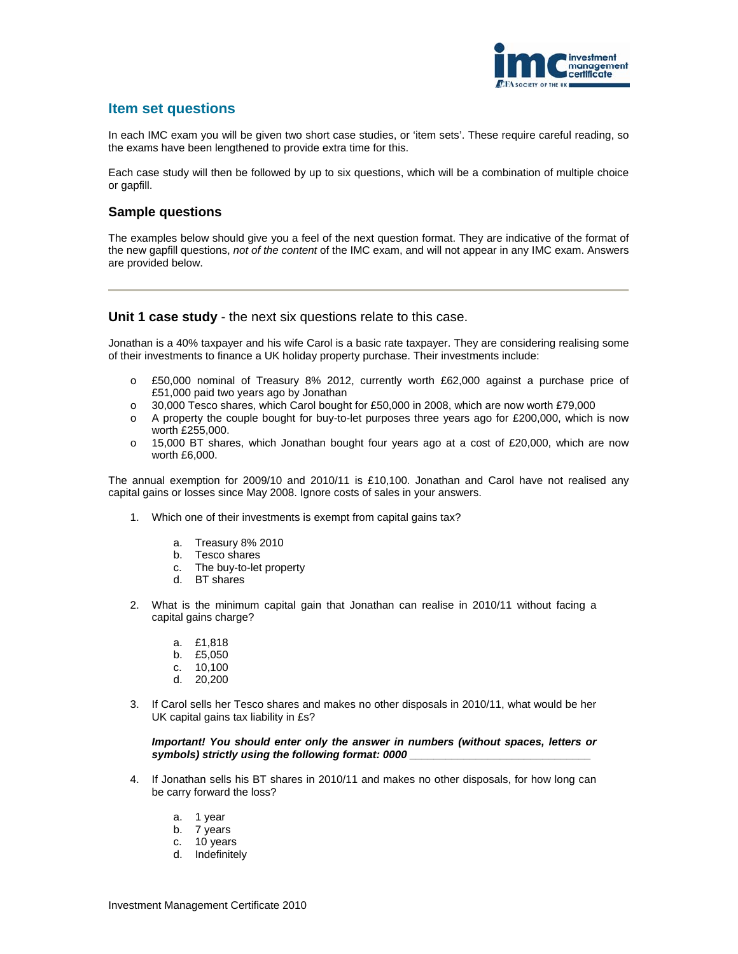

# **Item set questions**

In each IMC exam you will be given two short case studies, or 'item sets'. These require careful reading, so the exams have been lengthened to provide extra time for this.

Each case study will then be followed by up to six questions, which will be a combination of multiple choice or gapfill.

### **Sample questions**

The examples below should give you a feel of the next question format. They are indicative of the format of the new gapfill questions, *not of the content* of the IMC exam, and will not appear in any IMC exam. Answers are provided below.

#### **Unit 1 case study** - the next six questions relate to this case.

Jonathan is a 40% taxpayer and his wife Carol is a basic rate taxpayer. They are considering realising some of their investments to finance a UK holiday property purchase. Their investments include:

- o £50,000 nominal of Treasury 8% 2012, currently worth £62,000 against a purchase price of £51,000 paid two years ago by Jonathan
- o 30,000 Tesco shares, which Carol bought for £50,000 in 2008, which are now worth £79,000
- o A property the couple bought for buy-to-let purposes three years ago for £200,000, which is now worth £255,000.
- $\circ$  15,000 BT shares, which Jonathan bought four years ago at a cost of £20,000, which are now worth £6,000.

The annual exemption for 2009/10 and 2010/11 is £10,100. Jonathan and Carol have not realised any capital gains or losses since May 2008. Ignore costs of sales in your answers.

- 1. Which one of their investments is exempt from capital gains tax?
	- a. Treasury 8% 2010
	- b. Tesco shares
	- c. The buy-to-let property
	- d. BT shares
- 2. What is the minimum capital gain that Jonathan can realise in 2010/11 without facing a capital gains charge?
	- a. £1,818
	- b. £5,050
	- c. 10,100
	- d. 20,200
- 3. If Carol sells her Tesco shares and makes no other disposals in 2010/11, what would be her UK capital gains tax liability in £s?

*Important! You should enter only the answer in numbers (without spaces, letters or*  symbols) strictly using the following format: 0000

- 4. If Jonathan sells his BT shares in 2010/11 and makes no other disposals, for how long can be carry forward the loss?
	- a. 1 year
	- b. 7 years
	- c. 10 years
	- d. Indefinitely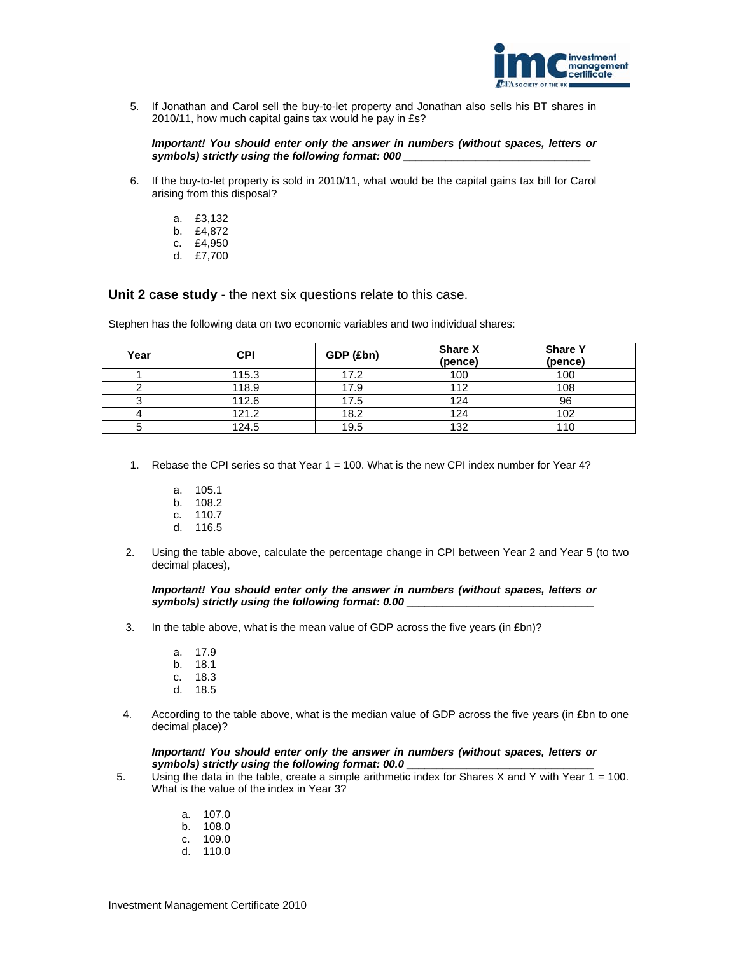

5. If Jonathan and Carol sell the buy-to-let property and Jonathan also sells his BT shares in 2010/11, how much capital gains tax would he pay in £s?

*Important! You should enter only the answer in numbers (without spaces, letters or symbols) strictly using the following format: 000* 

- 6. If the buy-to-let property is sold in 2010/11, what would be the capital gains tax bill for Carol arising from this disposal?
	- a. £3,132
	- b. £4,872
	- c. £4,950
	- d. £7,700

**Unit 2 case study** - the next six questions relate to this case.

Stephen has the following data on two economic variables and two individual shares:

| Year | <b>CPI</b> | GDP (£bn) | <b>Share X</b><br>(pence) | <b>Share Y</b><br>(pence) |
|------|------------|-----------|---------------------------|---------------------------|
|      | 115.3      | 17.2      | 100                       | 100                       |
|      | 118.9      | 17.9      | 112                       | 108                       |
|      | 112.6      | 17.5      | 124                       | 96                        |
|      | 121.2      | 18.2      | 124                       | 102                       |
|      | 124.5      | 19.5      | 132                       | 110                       |

- 1. Rebase the CPI series so that Year 1 = 100. What is the new CPI index number for Year 4?
	- a. 105.1
	- b. 108.2
	- c. 110.7 d. 116.5
- 2. Using the table above, calculate the percentage change in CPI between Year 2 and Year 5 (to two decimal places),

*Important! You should enter only the answer in numbers (without spaces, letters or*  symbols) strictly using the following format: 0.00

- 3. In the table above, what is the mean value of GDP across the five years (in £bn)?
	- a. 17.9
	- b. 18.1
	- c. 18.3
	- d. 18.5
- 4. According to the table above, what is the median value of GDP across the five years (in £bn to one decimal place)?

#### *Important! You should enter only the answer in numbers (without spaces, letters or*  symbols) strictly using the following format: 00.0

- 5. Using the data in the table, create a simple arithmetic index for Shares X and Y with Year  $1 = 100$ . What is the value of the index in Year 3?
	- a. 107.0
	- b. 108.0
	- c. 109.0
	- d. 110.0